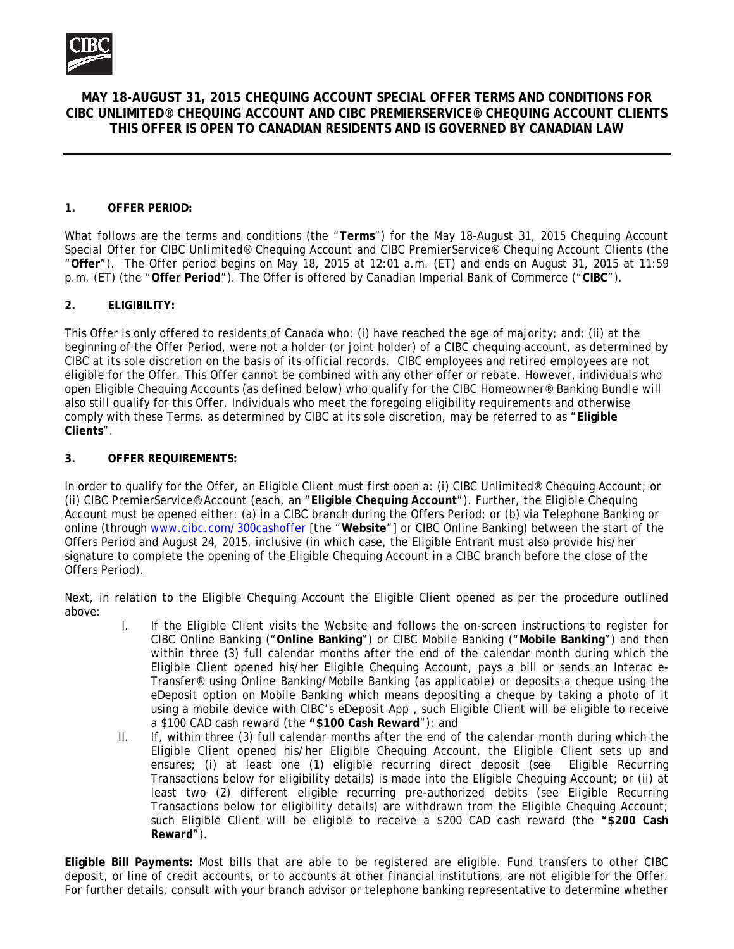

# **MAY 18-AUGUST 31, 2015 CHEQUING ACCOUNT SPECIAL OFFER TERMS AND CONDITIONS FOR CIBC UNLIMITED® CHEQUING ACCOUNT AND CIBC PREMIERSERVICE® CHEQUING ACCOUNT CLIENTS THIS OFFER IS OPEN TO CANADIAN RESIDENTS AND IS GOVERNED BY CANADIAN LAW**

### **1. OFFER PERIOD:**

What follows are the terms and conditions (the "**Terms**") for the *May 18-August 31, 2015 Chequing Account Special Offer for CIBC Unlimited® Chequing Account and CIBC PremierService® Chequing Account Clients* (the "**Offer**"). The Offer period begins on May 18, 2015 at 12:01 a.m. (ET) and ends on August 31, 2015 at 11:59 p.m. (ET) (the "**Offer Period**"). The Offer is offered by Canadian Imperial Bank of Commerce ("**CIBC**").

## **2. ELIGIBILITY:**

This Offer is only offered to residents of Canada who: (i) have reached the age of majority; and; (ii) at the beginning of the Offer Period, were not a holder (or joint holder) of a CIBC chequing account, as determined by CIBC at its sole discretion on the basis of its official records. CIBC employees and retired employees are not eligible for the Offer. This Offer cannot be combined with any other offer or rebate. However, individuals who open Eligible Chequing Accounts (as defined below) who qualify for the CIBC Homeowner® Banking Bundle will also still qualify for this Offer. Individuals who meet the foregoing eligibility requirements and otherwise comply with these Terms, as determined by CIBC at its sole discretion, may be referred to as "**Eligible Clients**".

### **3. OFFER REQUIREMENTS:**

In order to qualify for the Offer, an Eligible Client must first open a: (i) CIBC Unlimited® Chequing Account; or (ii) CIBC PremierService® Account (each, an "**Eligible Chequing Account**"). Further, the Eligible Chequing Account must be opened either: (a) in a CIBC branch during the Offers Period; or (b) via Telephone Banking or online (through www.cibc.com/300cashoffer [the "**Website**"] or CIBC Online Banking) between the start of the Offers Period and August 24, 2015, inclusive (in which case, the Eligible Entrant must also provide his/her signature to complete the opening of the Eligible Chequing Account in a CIBC branch before the close of the Offers Period).

Next, in relation to the Eligible Chequing Account the Eligible Client opened as per the procedure outlined above:

- I. If the Eligible Client visits the Website and follows the on-screen instructions to register for CIBC Online Banking ("**Online Banking**") or CIBC Mobile Banking ("**Mobile Banking**") and then within three (3) full calendar months after the end of the calendar month during which the Eligible Client opened his/her Eligible Chequing Account, pays a bill or sends an *Interac* e-Transfer® using Online Banking/Mobile Banking (as applicable) or deposits a cheque using the eDeposit option on Mobile Banking which means depositing a cheque by taking a photo of it using a mobile device with CIBC's eDeposit App , such Eligible Client will be eligible to receive a \$100 CAD cash reward (the **"\$100 Cash Reward**"); and
- II. If, within three (3) full calendar months after the end of the calendar month during which the Eligible Client opened his/her Eligible Chequing Account, the Eligible Client sets up and ensures; (i) at least one (1) eligible recurring direct deposit (see Eligible Recurring Transactions below for eligibility details) is made into the Eligible Chequing Account; or (ii) at least two (2) different eligible recurring pre-authorized debits (see Eligible Recurring Transactions below for eligibility details) are withdrawn from the Eligible Chequing Account; such Eligible Client will be eligible to receive a \$200 CAD cash reward (the **"\$200 Cash Reward**").

**Eligible Bill Payments:** Most bills that are able to be registered are eligible. Fund transfers to other CIBC deposit, or line of credit accounts, or to accounts at other financial institutions, are not eligible for the Offer. For further details, consult with your branch advisor or telephone banking representative to determine whether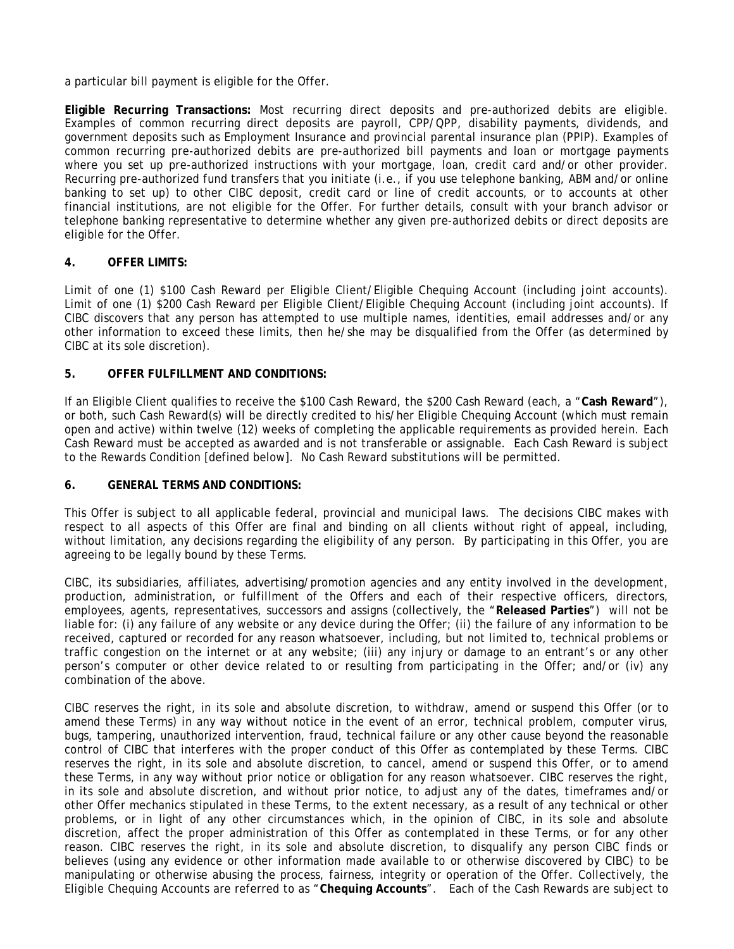a particular bill payment is eligible for the Offer.

**Eligible Recurring Transactions:** Most recurring direct deposits and pre-authorized debits are eligible. Examples of common recurring direct deposits are payroll, CPP/QPP, disability payments, dividends, and government deposits such as Employment Insurance and provincial parental insurance plan (PPIP). Examples of common recurring pre-authorized debits are pre-authorized bill payments and loan or mortgage payments where you set up pre-authorized instructions with your mortgage, loan, credit card and/or other provider. Recurring pre-authorized fund transfers that you initiate (i.e., if you use telephone banking, ABM and/or online banking to set up) to other CIBC deposit, credit card or line of credit accounts, or to accounts at other financial institutions, are not eligible for the Offer. For further details, consult with your branch advisor or telephone banking representative to determine whether any given pre-authorized debits or direct deposits are eligible for the Offer.

### **4. OFFER LIMITS:**

Limit of one (1) \$100 Cash Reward per Eligible Client/Eligible Chequing Account (including joint accounts). Limit of one (1) \$200 Cash Reward per Eligible Client/Eligible Chequing Account (including joint accounts). If CIBC discovers that any person has attempted to use multiple names, identities, email addresses and/or any other information to exceed these limits, then he/she may be disqualified from the Offer (as determined by CIBC at its sole discretion).

### **5. OFFER FULFILLMENT AND CONDITIONS:**

If an Eligible Client qualifies to receive the \$100 Cash Reward, the \$200 Cash Reward (each, a "**Cash Reward**"), or both, such Cash Reward(s) will be directly credited to his/her Eligible Chequing Account (which must remain open and active) within twelve (12) weeks of completing the applicable requirements as provided herein. Each Cash Reward must be accepted as awarded and is not transferable or assignable. Each Cash Reward is subject to the Rewards Condition [defined below]. No Cash Reward substitutions will be permitted.

#### **6. GENERAL TERMS AND CONDITIONS:**

This Offer is subject to all applicable federal, provincial and municipal laws. The decisions CIBC makes with respect to all aspects of this Offer are final and binding on all clients without right of appeal, including, without limitation, any decisions regarding the eligibility of any person. By participating in this Offer, you are agreeing to be legally bound by these Terms.

CIBC, its subsidiaries, affiliates, advertising/promotion agencies and any entity involved in the development, production, administration, or fulfillment of the Offers and each of their respective officers, directors, employees, agents, representatives, successors and assigns (collectively, the "**Released Parties**") will not be liable for: (i) any failure of any website or any device during the Offer; (ii) the failure of any information to be received, captured or recorded for any reason whatsoever, including, but not limited to, technical problems or traffic congestion on the internet or at any website; (iii) any injury or damage to an entrant's or any other person's computer or other device related to or resulting from participating in the Offer; and/or (iv) any combination of the above.

CIBC reserves the right, in its sole and absolute discretion, to withdraw, amend or suspend this Offer (or to amend these Terms) in any way without notice in the event of an error, technical problem, computer virus, bugs, tampering, unauthorized intervention, fraud, technical failure or any other cause beyond the reasonable control of CIBC that interferes with the proper conduct of this Offer as contemplated by these Terms. CIBC reserves the right, in its sole and absolute discretion, to cancel, amend or suspend this Offer, or to amend these Terms, in any way without prior notice or obligation for any reason whatsoever. CIBC reserves the right, in its sole and absolute discretion, and without prior notice, to adjust any of the dates, timeframes and/or other Offer mechanics stipulated in these Terms, to the extent necessary, as a result of any technical or other problems, or in light of any other circumstances which, in the opinion of CIBC, in its sole and absolute discretion, affect the proper administration of this Offer as contemplated in these Terms, or for any other reason. CIBC reserves the right, in its sole and absolute discretion, to disqualify any person CIBC finds or believes (using any evidence or other information made available to or otherwise discovered by CIBC) to be manipulating or otherwise abusing the process, fairness, integrity or operation of the Offer. Collectively, the Eligible Chequing Accounts are referred to as "**Chequing Accounts**". Each of the Cash Rewards are subject to